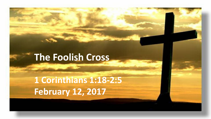### **The Foolish Cross**

**1 Corinthians 1:18-2:5 February 12, 2017**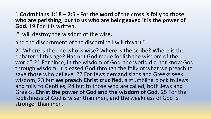**1 Corinthians 1:18 – 2:5 - For the word of the cross is folly to those who are perishing, but to us who are being saved it is the power of God.** 19 For it is written,

"I will destroy the wisdom of the wise,

and the discernment of the discerning I will thwart."

20 Where is the one who is wise? Where is the scribe? Where is the debater of this age? Has not God made foolish the wisdom of the world? 21 For since, in the wisdom of God, the world did not know God through wisdom, it pleased God through the folly of what we preach to save those who believe. 22 For Jews demand signs and Greeks seek wisdom, 23 but **we preach Christ crucified**, a stumbling block to Jews and folly to Gentiles, 24 but to those who are called, both Jews and Greeks, **Christ the power of God and the wisdom of God.** 25 For the foolishness of God is wiser than men, and the weakness of God is stronger than men.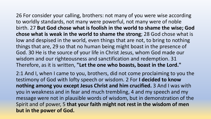26 For consider your calling, brothers: not many of you were wise according to worldly standards, not many were powerful, not many were of noble birth. 27 **But God chose what is foolish in the world to shame the wise; God chose what is weak in the world to shame the strong**; 28 God chose what is low and despised in the world, even things that are not, to bring to nothing things that are, 29 so that no human being might boast in the presence of God. 30 He is the source of your life in Christ Jesus, whom God made our wisdom and our righteousness and sanctification and redemption. 31 Therefore, as it is written, **"Let the one who boasts, boast in the Lord."**

2:1 And I, when I came to you, brothers, did not come proclaiming to you the testimony of God with lofty speech or wisdom. 2 For **I decided to know nothing among you except Jesus Christ and him crucified.** 3 And I was with you in weakness and in fear and much trembling, 4 and my speech and my message were not in plausible words of wisdom, but in demonstration of the Spirit and of power, 5 **that your faith might not rest in the wisdom of men but in the power of God.**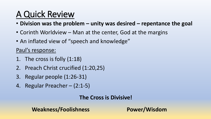## A Quick Review

- **Division was the problem – unity was desired – repentance the goal**
- Corinth Worldview Man at the center, God at the margins
- An inflated view of "speech and knowledge"

Paul's response:

- 1. The cross is folly (1:18)
- 2. Preach Christ crucified (1:20,25)
- 3. Regular people (1:26-31)
- 4. Regular Preacher (2:1-5)

**The Cross is Divisive!**

**Weakness/Foolishness Power/Wisdom**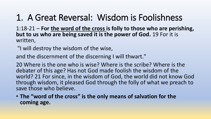### 1. A Great Reversal: Wisdom is Foolishness

1:18-21 – **For the word of the cross is folly to those who are perishing, but to us who are being saved it is the power of God.** 19 For it is written,

"I will destroy the wisdom of the wise,

and the discernment of the discerning I will thwart."

20 Where is the one who is wise? Where is the scribe? Where is the debater of this age? Has not God made foolish the wisdom of the world? 21 For since, in the wisdom of God, the world did not know God through wisdom, it pleased God through the folly of what we preach to save those who believe.

• **The "word of the cross" is the only means of salvation for the coming age.**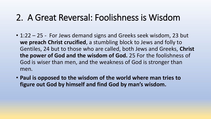### 2. A Great Reversal: Foolishness is Wisdom

- 1:22 25 For Jews demand signs and Greeks seek wisdom, 23 but **we preach Christ crucified**, a stumbling block to Jews and folly to Gentiles, 24 but to those who are called, both Jews and Greeks, **Christ the power of God and the wisdom of God.** 25 For the foolishness of God is wiser than men, and the weakness of God is stronger than men.
- **Paul is opposed to the wisdom of the world where man tries to figure out God by himself and find God by man's wisdom.**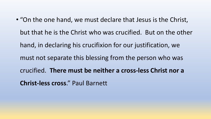• "On the one hand, we must declare that Jesus is the Christ, but that he is the Christ who was crucified. But on the other hand, in declaring his crucifixion for our justification, we must not separate this blessing from the person who was crucified. **There must be neither a cross-less Christ nor a Christ-less cross**." Paul Barnett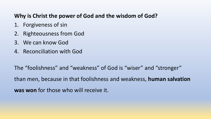#### **Why is Christ the power of God and the wisdom of God?**

- 1. Forgiveness of sin
- 2. Righteousness from God
- 3. We can know God
- 4. Reconciliation with God

The "foolishness" and "weakness" of God is "wiser" and "stronger" than men, because in that foolishness and weakness, **human salvation was won** for those who will receive it.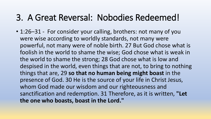### 3. A Great Reversal: Nobodies Redeemed!

• 1:26–31 - For consider your calling, brothers: not many of you were wise according to worldly standards, not many were powerful, not many were of noble birth. 27 But God chose what is foolish in the world to shame the wise; God chose what is weak in the world to shame the strong; 28 God chose what is low and despised in the world, even things that are not, to bring to nothing things that are, 29 **so that no human being might boast** in the presence of God. 30 He is the source of your life in Christ Jesus, whom God made our wisdom and our righteousness and sanctification and redemption. 31 Therefore, as it is written, **"Let the one who boasts, boast in the Lord."**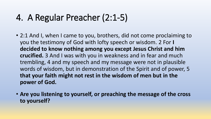### 4. A Regular Preacher (2:1-5)

- 2:1 And I, when I came to you, brothers, did not come proclaiming to you the testimony of God with lofty speech or wisdom. 2 For **I decided to know nothing among you except Jesus Christ and him crucified.** 3 And I was with you in weakness and in fear and much trembling, 4 and my speech and my message were not in plausible words of wisdom, but in demonstration of the Spirit and of power, 5 **that your faith might not rest in the wisdom of men but in the power of God.**
- **Are you listening to yourself, or preaching the message of the cross to yourself?**